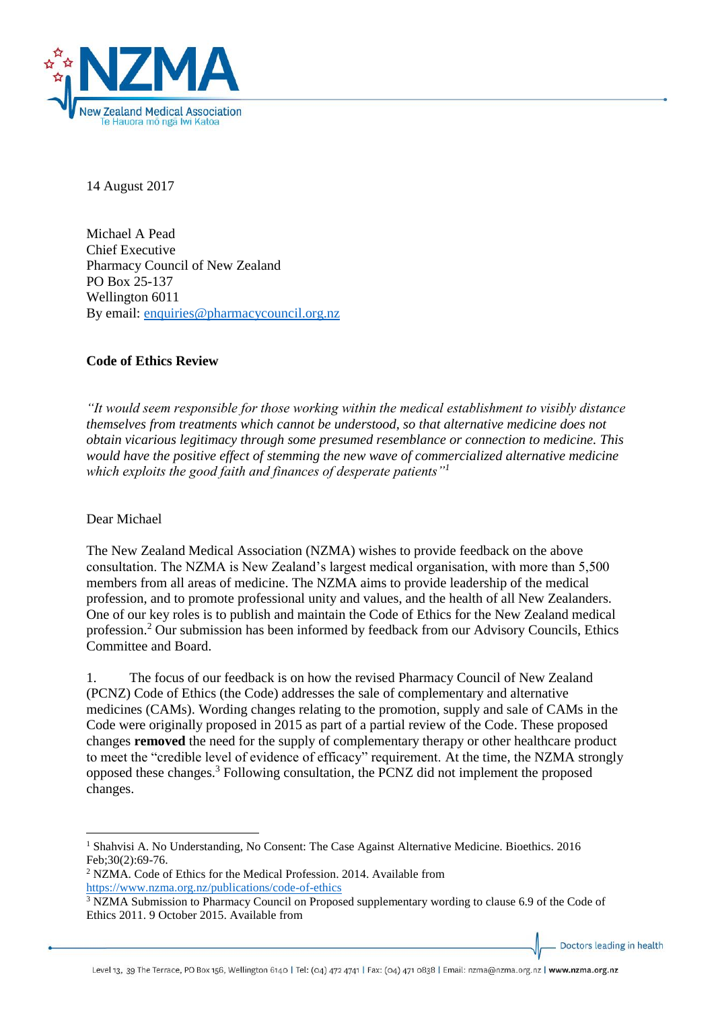

14 August 2017

Michael A Pead Chief Executive Pharmacy Council of New Zealand PO Box 25-137 Wellington 6011 By email: [enquiries@pharmacycouncil.org.nz](mailto:enquiries@pharmacycouncil.org.nz)

# **Code of Ethics Review**

*"It would seem responsible for those working within the medical establishment to visibly distance themselves from treatments which cannot be understood, so that alternative medicine does not obtain vicarious legitimacy through some presumed resemblance or connection to medicine. This would have the positive effect of stemming the new wave of commercialized alternative medicine which exploits the good faith and finances of desperate patients"<sup>1</sup>*

Dear Michael

1

The New Zealand Medical Association (NZMA) wishes to provide feedback on the above consultation. The NZMA is New Zealand's largest medical organisation, with more than 5,500 members from all areas of medicine. The NZMA aims to provide leadership of the medical profession, and to promote professional unity and values, and the health of all New Zealanders. One of our key roles is to publish and maintain the Code of Ethics for the New Zealand medical profession. <sup>2</sup> Our submission has been informed by feedback from our Advisory Councils, Ethics Committee and Board.

1. The focus of our feedback is on how the revised Pharmacy Council of New Zealand (PCNZ) Code of Ethics (the Code) addresses the sale of complementary and alternative medicines (CAMs). Wording changes relating to the promotion, supply and sale of CAMs in the Code were originally proposed in 2015 as part of a partial review of the Code. These proposed changes **removed** the need for the supply of complementary therapy or other healthcare product to meet the "credible level of evidence of efficacy" requirement. At the time, the NZMA strongly opposed these changes. <sup>3</sup> Following consultation, the PCNZ did not implement the proposed changes.

Doctors leading in health

<sup>1</sup> Shahvisi A. No Understanding, No Consent: The Case Against Alternative Medicine. Bioethics. 2016 Feb;30(2):69-76.

<sup>&</sup>lt;sup>2</sup> NZMA. Code of Ethics for the Medical Profession. 2014. Available from <https://www.nzma.org.nz/publications/code-of-ethics>

<sup>&</sup>lt;sup>3</sup> NZMA Submission to Pharmacy Council on Proposed supplementary wording to clause 6.9 of the Code of Ethics 2011. 9 October 2015. Available from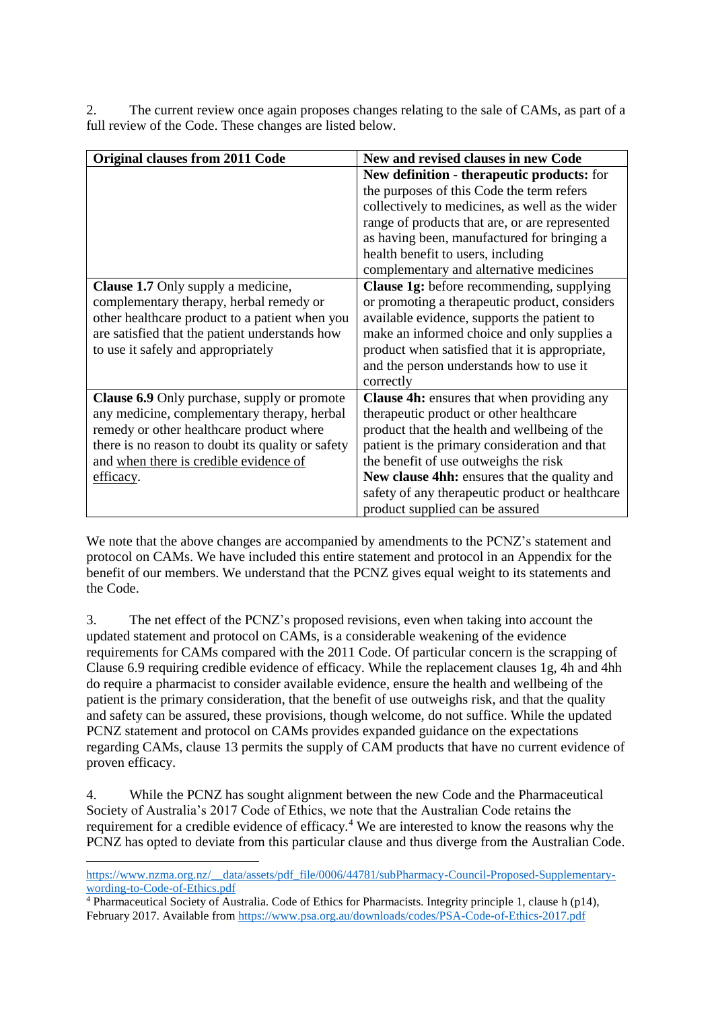2. The current review once again proposes changes relating to the sale of CAMs, as part of a full review of the Code. These changes are listed below.

| <b>Original clauses from 2011 Code</b>             | New and revised clauses in new Code               |
|----------------------------------------------------|---------------------------------------------------|
|                                                    | New definition - therapeutic products: for        |
|                                                    | the purposes of this Code the term refers         |
|                                                    | collectively to medicines, as well as the wider   |
|                                                    | range of products that are, or are represented    |
|                                                    | as having been, manufactured for bringing a       |
|                                                    | health benefit to users, including                |
|                                                    | complementary and alternative medicines           |
| <b>Clause 1.7</b> Only supply a medicine,          | <b>Clause 1g:</b> before recommending, supplying  |
| complementary therapy, herbal remedy or            | or promoting a therapeutic product, considers     |
| other healthcare product to a patient when you     | available evidence, supports the patient to       |
| are satisfied that the patient understands how     | make an informed choice and only supplies a       |
| to use it safely and appropriately                 | product when satisfied that it is appropriate,    |
|                                                    | and the person understands how to use it          |
|                                                    | correctly                                         |
| <b>Clause 6.9</b> Only purchase, supply or promote | <b>Clause 4h:</b> ensures that when providing any |
| any medicine, complementary therapy, herbal        | therapeutic product or other healthcare           |
| remedy or other healthcare product where           | product that the health and wellbeing of the      |
| there is no reason to doubt its quality or safety  | patient is the primary consideration and that     |
| and when there is credible evidence of             | the benefit of use outweighs the risk             |
| efficacy.                                          | New clause 4hh: ensures that the quality and      |
|                                                    | safety of any therapeutic product or healthcare   |
|                                                    | product supplied can be assured                   |

We note that the above changes are accompanied by amendments to the PCNZ's statement and protocol on CAMs. We have included this entire statement and protocol in an Appendix for the benefit of our members. We understand that the PCNZ gives equal weight to its statements and the Code.

3. The net effect of the PCNZ's proposed revisions, even when taking into account the updated statement and protocol on CAMs, is a considerable weakening of the evidence requirements for CAMs compared with the 2011 Code. Of particular concern is the scrapping of Clause 6.9 requiring credible evidence of efficacy. While the replacement clauses 1g, 4h and 4hh do require a pharmacist to consider available evidence, ensure the health and wellbeing of the patient is the primary consideration, that the benefit of use outweighs risk, and that the quality and safety can be assured, these provisions, though welcome, do not suffice. While the updated PCNZ statement and protocol on CAMs provides expanded guidance on the expectations regarding CAMs, clause 13 permits the supply of CAM products that have no current evidence of proven efficacy.

4. While the PCNZ has sought alignment between the new Code and the Pharmaceutical Society of Australia's 2017 Code of Ethics, we note that the Australian Code retains the requirement for a credible evidence of efficacy.<sup>4</sup> We are interested to know the reasons why the PCNZ has opted to deviate from this particular clause and thus diverge from the Australian Code.

**.** 

[https://www.nzma.org.nz/\\_\\_data/assets/pdf\\_file/0006/44781/subPharmacy-Council-Proposed-Supplementary](https://www.nzma.org.nz/__data/assets/pdf_file/0006/44781/subPharmacy-Council-Proposed-Supplementary-wording-to-Code-of-Ethics.pdf)[wording-to-Code-of-Ethics.pdf](https://www.nzma.org.nz/__data/assets/pdf_file/0006/44781/subPharmacy-Council-Proposed-Supplementary-wording-to-Code-of-Ethics.pdf)

<sup>4</sup> Pharmaceutical Society of Australia. Code of Ethics for Pharmacists. Integrity principle 1, clause h (p14), February 2017. Available from<https://www.psa.org.au/downloads/codes/PSA-Code-of-Ethics-2017.pdf>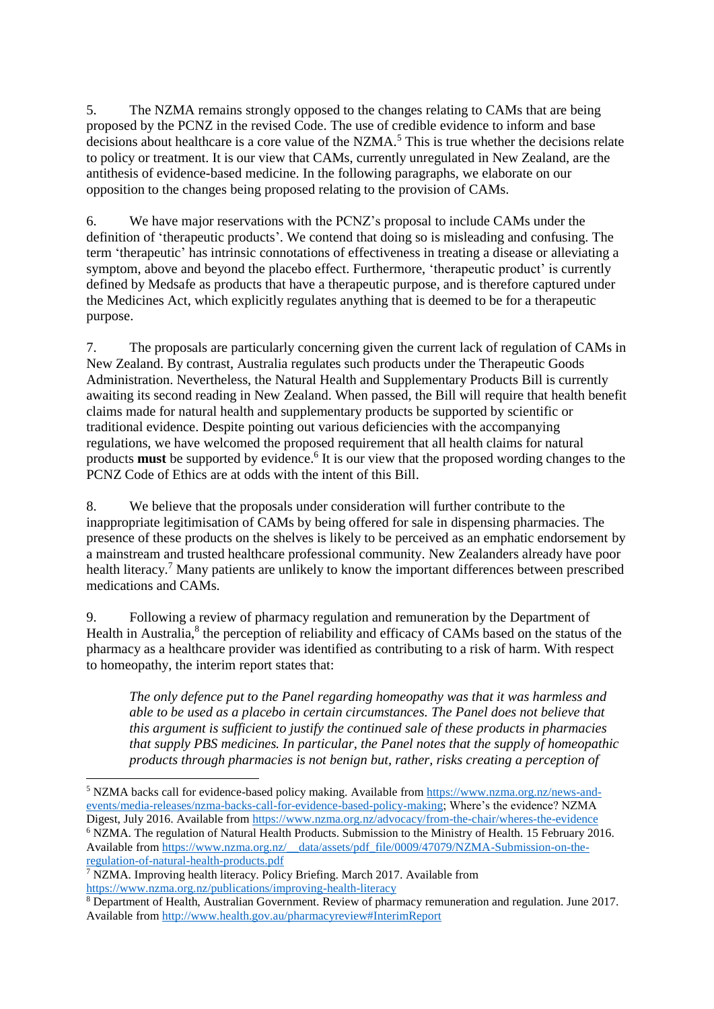5. The NZMA remains strongly opposed to the changes relating to CAMs that are being proposed by the PCNZ in the revised Code. The use of credible evidence to inform and base  $\frac{1}{2}$  decisions about healthcare is a core value of the NZMA.<sup>5</sup> This is true whether the decisions relate to policy or treatment. It is our view that CAMs, currently unregulated in New Zealand, are the antithesis of evidence-based medicine. In the following paragraphs, we elaborate on our opposition to the changes being proposed relating to the provision of CAMs.

6. We have major reservations with the PCNZ's proposal to include CAMs under the definition of 'therapeutic products'. We contend that doing so is misleading and confusing. The term 'therapeutic' has intrinsic connotations of effectiveness in treating a disease or alleviating a symptom, above and beyond the placebo effect. Furthermore, 'therapeutic product' is currently defined by Medsafe as products that have a therapeutic purpose, and is therefore captured under the Medicines Act, which explicitly regulates anything that is deemed to be for a therapeutic purpose.

7. The proposals are particularly concerning given the current lack of regulation of CAMs in New Zealand. By contrast, Australia regulates such products under the Therapeutic Goods Administration. Nevertheless, the Natural Health and Supplementary Products Bill is currently awaiting its second reading in New Zealand. When passed, the Bill will require that health benefit claims made for natural health and supplementary products be supported by scientific or traditional evidence. Despite pointing out various deficiencies with the accompanying regulations, we have welcomed the proposed requirement that all health claims for natural products **must** be supported by evidence.<sup>6</sup> It is our view that the proposed wording changes to the PCNZ Code of Ethics are at odds with the intent of this Bill.

8. We believe that the proposals under consideration will further contribute to the inappropriate legitimisation of CAMs by being offered for sale in dispensing pharmacies. The presence of these products on the shelves is likely to be perceived as an emphatic endorsement by a mainstream and trusted healthcare professional community. New Zealanders already have poor health literacy.<sup>7</sup> Many patients are unlikely to know the important differences between prescribed medications and CAMs.

9. Following a review of pharmacy regulation and remuneration by the Department of Health in Australia,<sup>8</sup> the perception of reliability and efficacy of CAMs based on the status of the pharmacy as a healthcare provider was identified as contributing to a risk of harm. With respect to homeopathy, the interim report states that:

*The only defence put to the Panel regarding homeopathy was that it was harmless and able to be used as a placebo in certain circumstances. The Panel does not believe that this argument is sufficient to justify the continued sale of these products in pharmacies that supply PBS medicines. In particular, the Panel notes that the supply of homeopathic products through pharmacies is not benign but, rather, risks creating a perception of* 

<sup>6</sup> NZMA. The regulation of Natural Health Products. Submission to the Ministry of Health. 15 February 2016. Available from [https://www.nzma.org.nz/\\_\\_data/assets/pdf\\_file/0009/47079/NZMA-Submission-on-the](https://www.nzma.org.nz/__data/assets/pdf_file/0009/47079/NZMA-Submission-on-the-regulation-of-natural-health-products.pdf)[regulation-of-natural-health-products.pdf](https://www.nzma.org.nz/__data/assets/pdf_file/0009/47079/NZMA-Submission-on-the-regulation-of-natural-health-products.pdf)

**.** 

<sup>5</sup> NZMA backs call for evidence-based policy making. Available from [https://www.nzma.org.nz/news-and](https://www.nzma.org.nz/news-and-events/media-releases/nzma-backs-call-for-evidence-based-policy-making)[events/media-releases/nzma-backs-call-for-evidence-based-policy-making;](https://www.nzma.org.nz/news-and-events/media-releases/nzma-backs-call-for-evidence-based-policy-making) Where's the evidence? NZMA Digest, July 2016. Available from<https://www.nzma.org.nz/advocacy/from-the-chair/wheres-the-evidence>

<sup>&</sup>lt;sup>7</sup> NZMA. Improving health literacy. Policy Briefing. March 2017. Available from <https://www.nzma.org.nz/publications/improving-health-literacy>

<sup>8</sup> Department of Health, Australian Government. Review of pharmacy remuneration and regulation. June 2017. Available from<http://www.health.gov.au/pharmacyreview#InterimReport>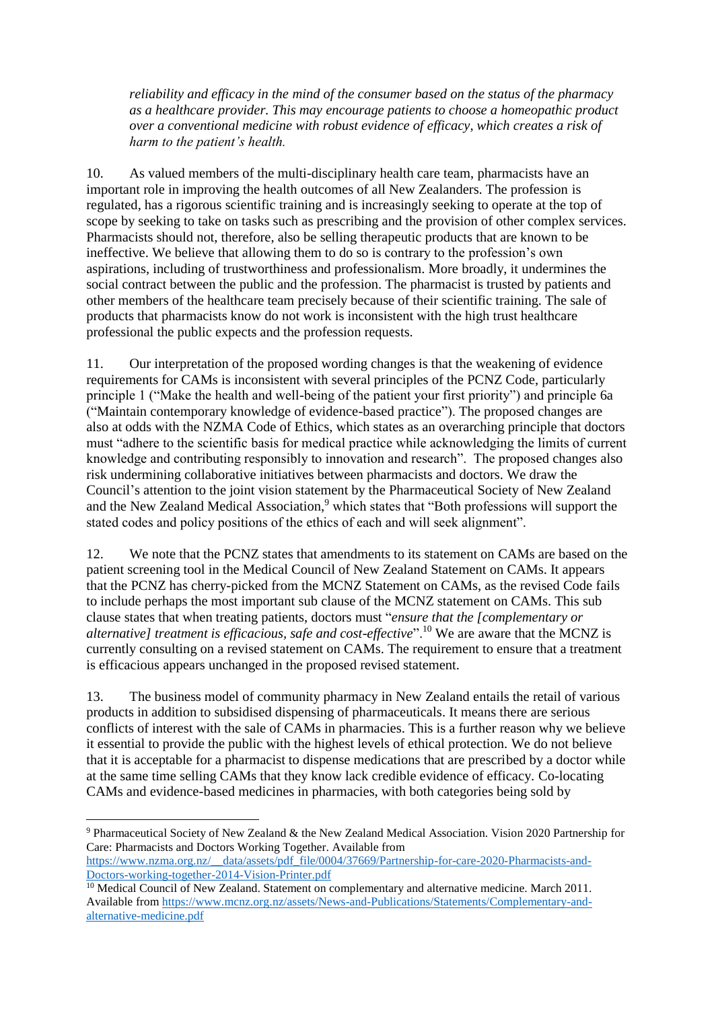*reliability and efficacy in the mind of the consumer based on the status of the pharmacy as a healthcare provider. This may encourage patients to choose a homeopathic product over a conventional medicine with robust evidence of efficacy, which creates a risk of harm to the patient's health.*

10. As valued members of the multi-disciplinary health care team, pharmacists have an important role in improving the health outcomes of all New Zealanders. The profession is regulated, has a rigorous scientific training and is increasingly seeking to operate at the top of scope by seeking to take on tasks such as prescribing and the provision of other complex services. Pharmacists should not, therefore, also be selling therapeutic products that are known to be ineffective. We believe that allowing them to do so is contrary to the profession's own aspirations, including of trustworthiness and professionalism. More broadly, it undermines the social contract between the public and the profession. The pharmacist is trusted by patients and other members of the healthcare team precisely because of their scientific training. The sale of products that pharmacists know do not work is inconsistent with the high trust healthcare professional the public expects and the profession requests.

11. Our interpretation of the proposed wording changes is that the weakening of evidence requirements for CAMs is inconsistent with several principles of the PCNZ Code, particularly principle 1 ("Make the health and well-being of the patient your first priority") and principle 6a ("Maintain contemporary knowledge of evidence-based practice"). The proposed changes are also at odds with the NZMA Code of Ethics, which states as an overarching principle that doctors must "adhere to the scientific basis for medical practice while acknowledging the limits of current knowledge and contributing responsibly to innovation and research". The proposed changes also risk undermining collaborative initiatives between pharmacists and doctors. We draw the Council's attention to the joint vision statement by the Pharmaceutical Society of New Zealand and the New Zealand Medical Association,<sup>9</sup> which states that "Both professions will support the stated codes and policy positions of the ethics of each and will seek alignment".

12. We note that the PCNZ states that amendments to its statement on CAMs are based on the patient screening tool in the Medical Council of New Zealand Statement on CAMs. It appears that the PCNZ has cherry-picked from the MCNZ Statement on CAMs, as the revised Code fails to include perhaps the most important sub clause of the MCNZ statement on CAMs. This sub clause states that when treating patients, doctors must "*ensure that the [complementary or alternative] treatment is efficacious, safe and cost-effective*".<sup>10</sup> We are aware that the MCNZ is currently consulting on a revised statement on CAMs. The requirement to ensure that a treatment is efficacious appears unchanged in the proposed revised statement.

13. The business model of community pharmacy in New Zealand entails the retail of various products in addition to subsidised dispensing of pharmaceuticals. It means there are serious conflicts of interest with the sale of CAMs in pharmacies. This is a further reason why we believe it essential to provide the public with the highest levels of ethical protection. We do not believe that it is acceptable for a pharmacist to dispense medications that are prescribed by a doctor while at the same time selling CAMs that they know lack credible evidence of efficacy. Co-locating CAMs and evidence-based medicines in pharmacies, with both categories being sold by

**.** 

<sup>9</sup> Pharmaceutical Society of New Zealand & the New Zealand Medical Association. Vision 2020 Partnership for Care: Pharmacists and Doctors Working Together. Available from

[https://www.nzma.org.nz/\\_\\_data/assets/pdf\\_file/0004/37669/Partnership-for-care-2020-Pharmacists-and-](https://www.nzma.org.nz/__data/assets/pdf_file/0004/37669/Partnership-for-care-2020-Pharmacists-and-Doctors-working-together-2014-Vision-Printer.pdf)[Doctors-working-together-2014-Vision-Printer.pdf](https://www.nzma.org.nz/__data/assets/pdf_file/0004/37669/Partnership-for-care-2020-Pharmacists-and-Doctors-working-together-2014-Vision-Printer.pdf)

<sup>&</sup>lt;sup>10</sup> Medical Council of New Zealand. Statement on complementary and alternative medicine. March 2011. Available from [https://www.mcnz.org.nz/assets/News-and-Publications/Statements/Complementary-and](https://www.mcnz.org.nz/assets/News-and-Publications/Statements/Complementary-and-alternative-medicine.pdf)[alternative-medicine.pdf](https://www.mcnz.org.nz/assets/News-and-Publications/Statements/Complementary-and-alternative-medicine.pdf)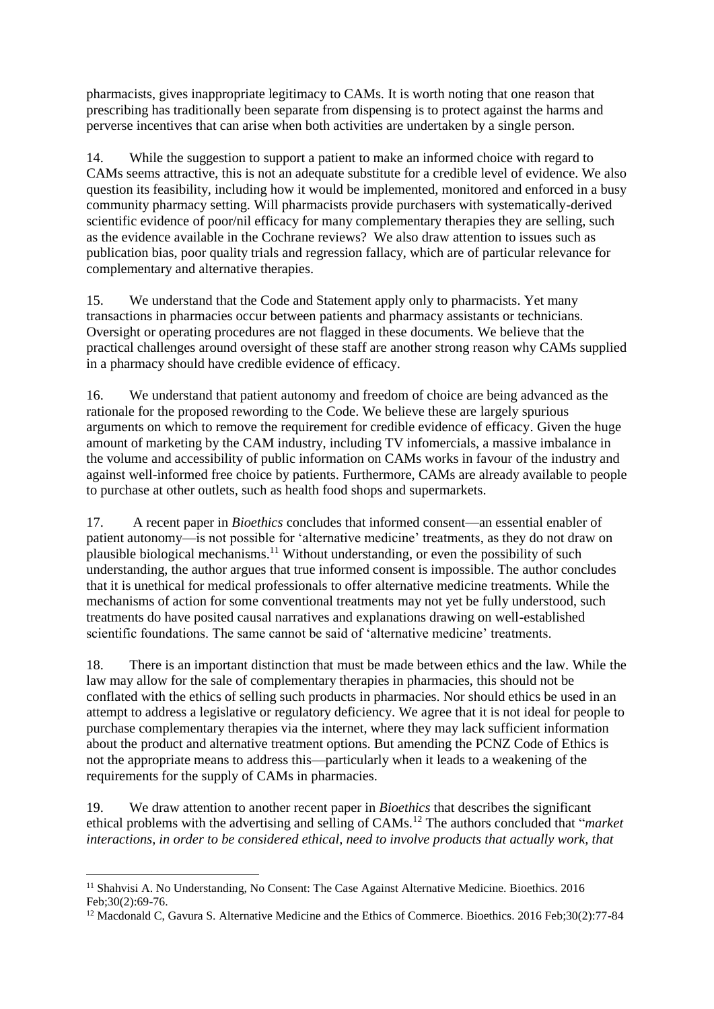pharmacists, gives inappropriate legitimacy to CAMs. It is worth noting that one reason that prescribing has traditionally been separate from dispensing is to protect against the harms and perverse incentives that can arise when both activities are undertaken by a single person.

14. While the suggestion to support a patient to make an informed choice with regard to CAMs seems attractive, this is not an adequate substitute for a credible level of evidence. We also question its feasibility, including how it would be implemented, monitored and enforced in a busy community pharmacy setting. Will pharmacists provide purchasers with systematically-derived scientific evidence of poor/nil efficacy for many complementary therapies they are selling, such as the evidence available in the Cochrane reviews? We also draw attention to issues such as publication bias, poor quality trials and regression fallacy, which are of particular relevance for complementary and alternative therapies.

15. We understand that the Code and Statement apply only to pharmacists. Yet many transactions in pharmacies occur between patients and pharmacy assistants or technicians. Oversight or operating procedures are not flagged in these documents. We believe that the practical challenges around oversight of these staff are another strong reason why CAMs supplied in a pharmacy should have credible evidence of efficacy.

16. We understand that patient autonomy and freedom of choice are being advanced as the rationale for the proposed rewording to the Code. We believe these are largely spurious arguments on which to remove the requirement for credible evidence of efficacy. Given the huge amount of marketing by the CAM industry, including TV infomercials, a massive imbalance in the volume and accessibility of public information on CAMs works in favour of the industry and against well-informed free choice by patients. Furthermore, CAMs are already available to people to purchase at other outlets, such as health food shops and supermarkets.

17. A recent paper in *Bioethics* concludes that informed consent—an essential enabler of patient autonomy—is not possible for 'alternative medicine' treatments, as they do not draw on plausible biological mechanisms.<sup>11</sup> Without understanding, or even the possibility of such understanding, the author argues that true informed consent is impossible. The author concludes that it is unethical for medical professionals to offer alternative medicine treatments. While the mechanisms of action for some conventional treatments may not yet be fully understood, such treatments do have posited causal narratives and explanations drawing on well-established scientific foundations. The same cannot be said of 'alternative medicine' treatments.

18. There is an important distinction that must be made between ethics and the law. While the law may allow for the sale of complementary therapies in pharmacies, this should not be conflated with the ethics of selling such products in pharmacies. Nor should ethics be used in an attempt to address a legislative or regulatory deficiency. We agree that it is not ideal for people to purchase complementary therapies via the internet, where they may lack sufficient information about the product and alternative treatment options. But amending the PCNZ Code of Ethics is not the appropriate means to address this—particularly when it leads to a weakening of the requirements for the supply of CAMs in pharmacies.

19. We draw attention to another recent paper in *Bioethics* that describes the significant ethical problems with the advertising and selling of CAMs.<sup>12</sup> The authors concluded that "*market interactions, in order to be considered ethical, need to involve products that actually work, that* 

<sup>1</sup> <sup>11</sup> Shahvisi A. No Understanding, No Consent: The Case Against Alternative Medicine. Bioethics. 2016 Feb;30(2):69-76.

<sup>&</sup>lt;sup>12</sup> Macdonald C, Gavura S. Alternative Medicine and the Ethics of Commerce. Bioethics. 2016 Feb;30(2):77-84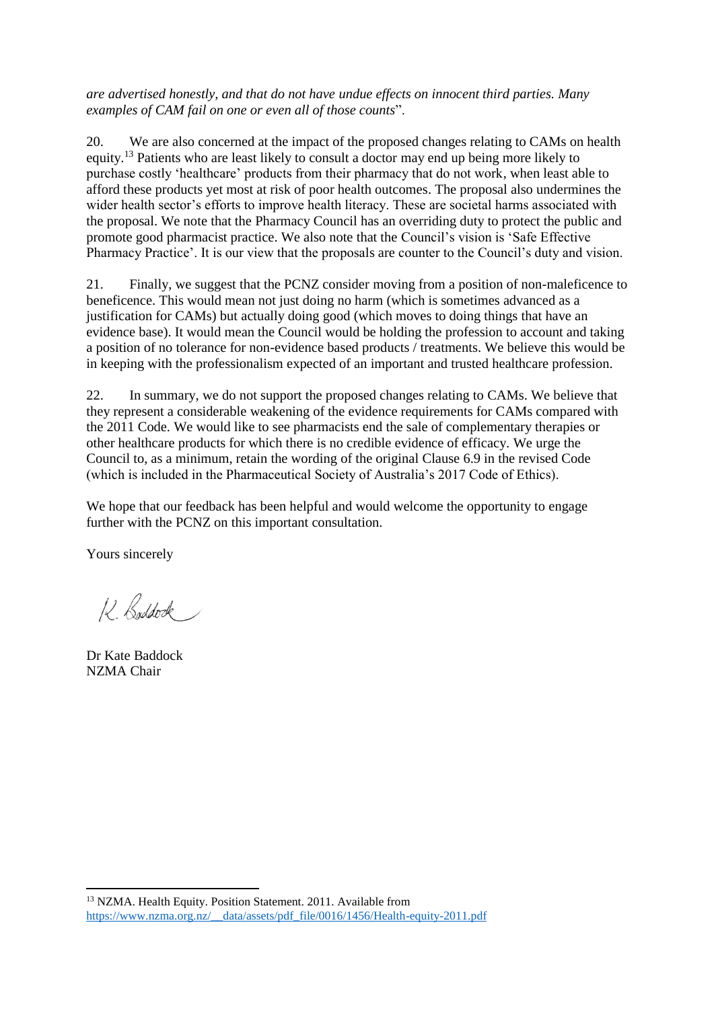*are advertised honestly, and that do not have undue effects on innocent third parties. Many examples of CAM fail on one or even all of those counts*".

20. We are also concerned at the impact of the proposed changes relating to CAMs on health equity.<sup>13</sup> Patients who are least likely to consult a doctor may end up being more likely to purchase costly 'healthcare' products from their pharmacy that do not work, when least able to afford these products yet most at risk of poor health outcomes. The proposal also undermines the wider health sector's efforts to improve health literacy. These are societal harms associated with the proposal. We note that the Pharmacy Council has an overriding duty to protect the public and promote good pharmacist practice. We also note that the Council's vision is 'Safe Effective Pharmacy Practice'. It is our view that the proposals are counter to the Council's duty and vision.

21. Finally, we suggest that the PCNZ consider moving from a position of non-maleficence to beneficence. This would mean not just doing no harm (which is sometimes advanced as a justification for CAMs) but actually doing good (which moves to doing things that have an evidence base). It would mean the Council would be holding the profession to account and taking a position of no tolerance for non-evidence based products / treatments. We believe this would be in keeping with the professionalism expected of an important and trusted healthcare profession.

22. In summary, we do not support the proposed changes relating to CAMs. We believe that they represent a considerable weakening of the evidence requirements for CAMs compared with the 2011 Code. We would like to see pharmacists end the sale of complementary therapies or other healthcare products for which there is no credible evidence of efficacy. We urge the Council to, as a minimum, retain the wording of the original Clause 6.9 in the revised Code (which is included in the Pharmaceutical Society of Australia's 2017 Code of Ethics).

We hope that our feedback has been helpful and would welcome the opportunity to engage further with the PCNZ on this important consultation.

Yours sincerely

12 Buddock

Dr Kate Baddock NZMA Chair

**<sup>.</sup>** <sup>13</sup> NZMA. Health Equity. Position Statement. 2011. Available from [https://www.nzma.org.nz/\\_\\_data/assets/pdf\\_file/0016/1456/Health-equity-2011.pdf](https://www.nzma.org.nz/__data/assets/pdf_file/0016/1456/Health-equity-2011.pdf)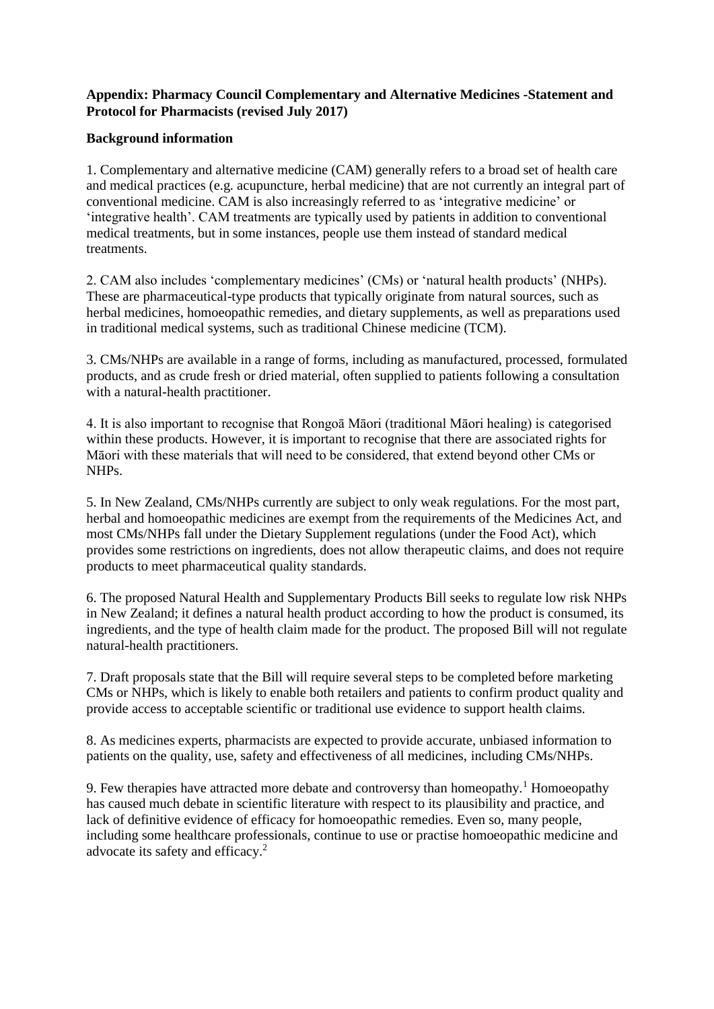# **Appendix: Pharmacy Council Complementary and Alternative Medicines -Statement and Protocol for Pharmacists (revised July 2017)**

## **Background information**

1. Complementary and alternative medicine (CAM) generally refers to a broad set of health care and medical practices (e.g. acupuncture, herbal medicine) that are not currently an integral part of conventional medicine. CAM is also increasingly referred to as 'integrative medicine' or 'integrative health'. CAM treatments are typically used by patients in addition to conventional medical treatments, but in some instances, people use them instead of standard medical treatments.

2. CAM also includes 'complementary medicines' (CMs) or 'natural health products' (NHPs). These are pharmaceutical-type products that typically originate from natural sources, such as herbal medicines, homoeopathic remedies, and dietary supplements, as well as preparations used in traditional medical systems, such as traditional Chinese medicine (TCM).

3. CMs/NHPs are available in a range of forms, including as manufactured, processed, formulated products, and as crude fresh or dried material, often supplied to patients following a consultation with a natural-health practitioner.

4. It is also important to recognise that Rongoā Māori (traditional Māori healing) is categorised within these products. However, it is important to recognise that there are associated rights for Māori with these materials that will need to be considered, that extend beyond other CMs or NHPs.

5. In New Zealand, CMs/NHPs currently are subject to only weak regulations. For the most part, herbal and homoeopathic medicines are exempt from the requirements of the Medicines Act, and most CMs/NHPs fall under the Dietary Supplement regulations (under the Food Act), which provides some restrictions on ingredients, does not allow therapeutic claims, and does not require products to meet pharmaceutical quality standards.

6. The proposed Natural Health and Supplementary Products Bill seeks to regulate low risk NHPs in New Zealand; it defines a natural health product according to how the product is consumed, its ingredients, and the type of health claim made for the product. The proposed Bill will not regulate natural-health practitioners.

7. Draft proposals state that the Bill will require several steps to be completed before marketing CMs or NHPs, which is likely to enable both retailers and patients to confirm product quality and provide access to acceptable scientific or traditional use evidence to support health claims.

8. As medicines experts, pharmacists are expected to provide accurate, unbiased information to patients on the quality, use, safety and effectiveness of all medicines, including CMs/NHPs.

9. Few therapies have attracted more debate and controversy than homeopathy.<sup>1</sup> Homoeopathy has caused much debate in scientific literature with respect to its plausibility and practice, and lack of definitive evidence of efficacy for homoeopathic remedies. Even so, many people, including some healthcare professionals, continue to use or practise homoeopathic medicine and advocate its safety and efficacy.<sup>2</sup>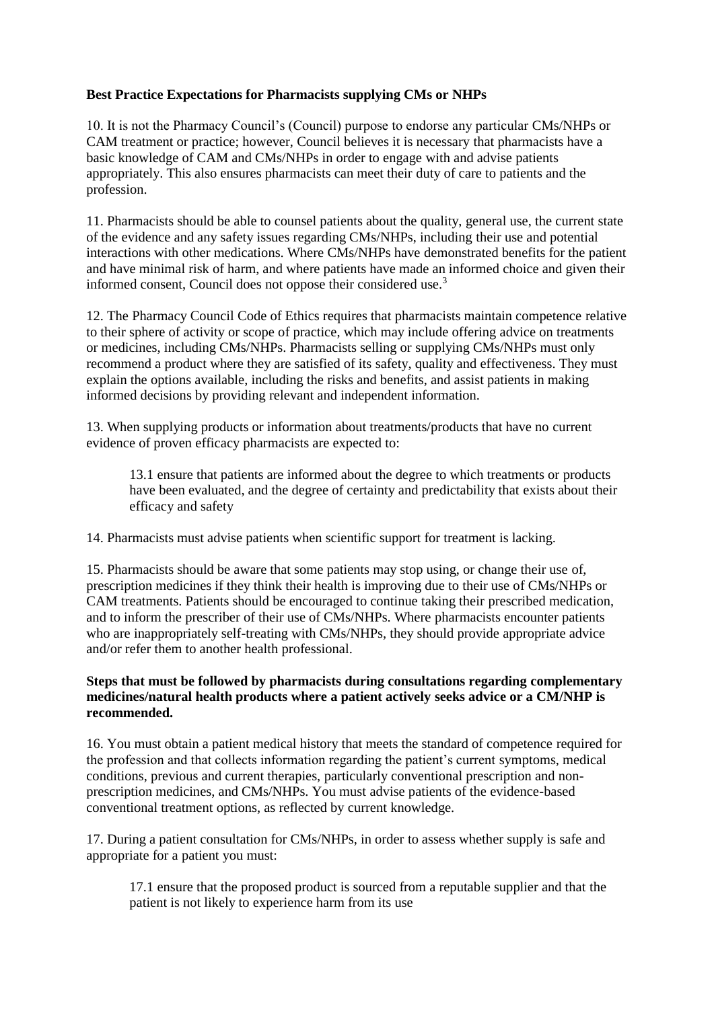# **Best Practice Expectations for Pharmacists supplying CMs or NHPs**

10. It is not the Pharmacy Council's (Council) purpose to endorse any particular CMs/NHPs or CAM treatment or practice; however, Council believes it is necessary that pharmacists have a basic knowledge of CAM and CMs/NHPs in order to engage with and advise patients appropriately. This also ensures pharmacists can meet their duty of care to patients and the profession.

11. Pharmacists should be able to counsel patients about the quality, general use, the current state of the evidence and any safety issues regarding CMs/NHPs, including their use and potential interactions with other medications. Where CMs/NHPs have demonstrated benefits for the patient and have minimal risk of harm, and where patients have made an informed choice and given their informed consent, Council does not oppose their considered use.<sup>3</sup>

12. The Pharmacy Council Code of Ethics requires that pharmacists maintain competence relative to their sphere of activity or scope of practice, which may include offering advice on treatments or medicines, including CMs/NHPs. Pharmacists selling or supplying CMs/NHPs must only recommend a product where they are satisfied of its safety, quality and effectiveness. They must explain the options available, including the risks and benefits, and assist patients in making informed decisions by providing relevant and independent information.

13. When supplying products or information about treatments/products that have no current evidence of proven efficacy pharmacists are expected to:

13.1 ensure that patients are informed about the degree to which treatments or products have been evaluated, and the degree of certainty and predictability that exists about their efficacy and safety

14. Pharmacists must advise patients when scientific support for treatment is lacking.

15. Pharmacists should be aware that some patients may stop using, or change their use of, prescription medicines if they think their health is improving due to their use of CMs/NHPs or CAM treatments. Patients should be encouraged to continue taking their prescribed medication, and to inform the prescriber of their use of CMs/NHPs. Where pharmacists encounter patients who are inappropriately self-treating with CMs/NHPs, they should provide appropriate advice and/or refer them to another health professional.

## **Steps that must be followed by pharmacists during consultations regarding complementary medicines/natural health products where a patient actively seeks advice or a CM/NHP is recommended.**

16. You must obtain a patient medical history that meets the standard of competence required for the profession and that collects information regarding the patient's current symptoms, medical conditions, previous and current therapies, particularly conventional prescription and nonprescription medicines, and CMs/NHPs. You must advise patients of the evidence-based conventional treatment options, as reflected by current knowledge.

17. During a patient consultation for CMs/NHPs, in order to assess whether supply is safe and appropriate for a patient you must:

17.1 ensure that the proposed product is sourced from a reputable supplier and that the patient is not likely to experience harm from its use